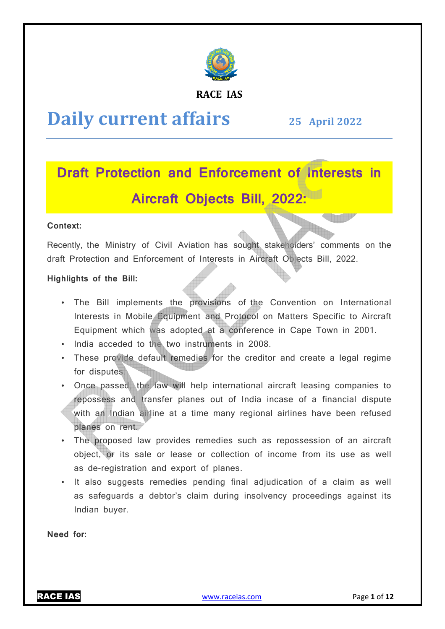

### **RACE IAS**

# **Daily current affairs**

# **25 April April 2022**

# **Draft Protection and Enforcement of Interests in Aircraft Objects Bill, 2022:**

### **Context:**

Recently, the Ministry of Civil Aviation has sought stakeholders' comments on the draft Protection and Enforcement of Interests in Aircraft Objects Bill, 2022.

### **Highlights of the Bill:**

- The Bill implements the provisions of the Convention on International Interests in Mobile Equipment and Protocol on Matters Specific to Aircraft Equipment which was adopted at a conference in Cape Town in 2001.
- India acceded to the two instruments in 2008.
- These provide default remedies for the creditor and create a legal regime for disputes.
- Once passed, the law will help international aircraft leasing companies to repossess and transfer planes out of India incase of a financial dispute with an Indian airline at a time many regional airlines have been refused planes on rent. • Once passed, the law will help international aircraft leasing companies to repossess and transfer planes out of India incase of a financial dispute with an Indian airline at a time many regional airlines have been refuse
- object, or its sale or lease or collection of income from its use as well as de-registration and export of planes.
- It also suggests remedies pending final adjudication of a claim as well as safeguards a debtor's claim during insolvency proceedings against its Indian buyer. registration and export of planes.<br>· suggests remedies pending final adjudication of a claim as well<br>eguards a debtor's claim during insolvency proceedings against its

**Need for:** 

RACE IAS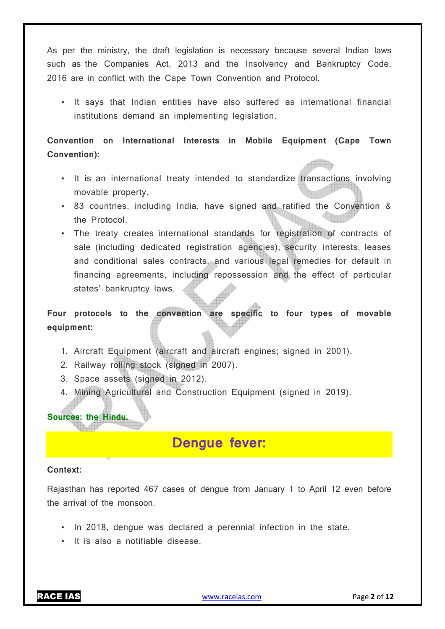As per the ministry, the draft legislation is necessary because several Indian laws such as the Companies Act, 2013 and the Insolvency and Bankruptcy Code, 2016 are in conflict with the Cape Town Convention and Protocol.

• It says that Indian entities have also suffered as international financial institutions demand an implementing legislation.

**Convention on International Interests in Mobile Equipment (Cape Town Convention):** 

- It is an international treaty intended to standardize transactions involving movable property.
- 83 countries, including India, have signed and ratified the Convention & the Protocol.
- The treaty creates international standards for registration of contracts of sale (including dedicated registration agencies), security interests, leases and conditional sales contracts, and various legal remedies for default in financing agreements, including repossession and the effect of particular states' bankruptcy laws.

**Four protocols to the convention are specific to four types of movable equipment:** 

- 1. Aircraft Equipment (aircraft and aircraft engines; signed in 2001).
- 2. Railway rolling stock (signed in 2007).
- 3. Space assets (signed in 2012).
- 4. Mining Agricultural and Construction Equipment (signed in 2019).

**Sources: the Hindu.**

## **Dengue fever:**

### **Context:**

Rajasthan has reported 467 cases of dengue from January 1 to April 12 even before the arrival of the monsoon.

- In 2018, dengue was declared a perennial infection in the state.
- It is also a notifiable disease.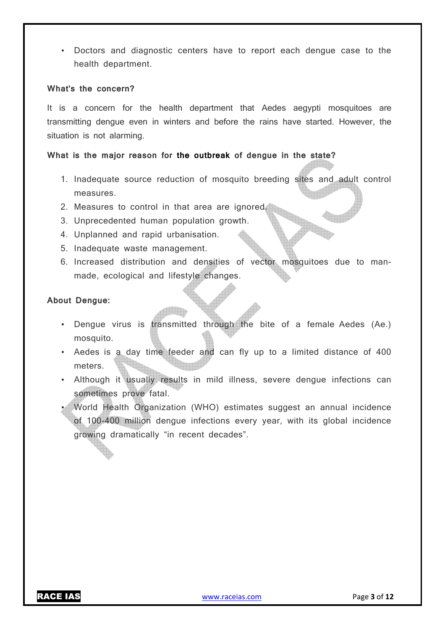• Doctors and diagnostic centers have to report each dengue case to the health department.

### **What's the concern?**

It is a concern for the health department that Aedes aegypti mosquitoes are transmitting dengue even in winters and before the rains have started. However, the situation is not alarming.

### **What is the major reason for the outbreak of dengue in the state?**

- 1. Inadequate source reduction of mosquito breeding sites and adult control measures.
- 2. Measures to control in that area are ignored.
- 3. Unprecedented human population growth.
- 4. Unplanned and rapid urbanisation.
- 5. Inadequate waste management.
- 6. Increased distribution and densities of vector mosquitoes due to manmade, ecological and lifestyle changes.

### **About Dengue:**

- Dengue virus is transmitted through the bite of a female Aedes (Ae.) mosquito.
- Aedes is a day time feeder and can fly up to a limited distance of 400 meters.
- Although it usually results in mild illness, severe dengue infections can sometimes prove fatal.
- World Health Organization (WHO) estimates suggest an annual incidence of 100-400 million dengue infections every year, with its global incidence growing dramatically "in recent decades".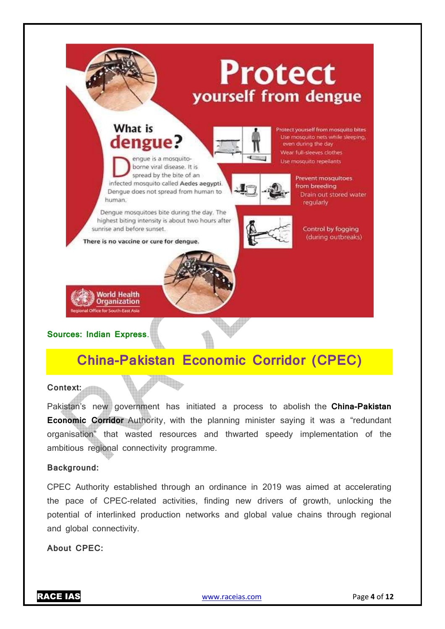

## What is dengue?



otect yourself from mosquito bites Use mosquito nets while sleeping, even during the day Wear full-sleeves clothes Use mosquito repellants

engue is a mosquitoborne viral disease. It is spread by the bite of an infected mosquito called Aedes aegypti. Dengue does not spread from human to human.

Dengue mosquitoes bite during the day. The highest biting intensity is about two hours after sunrise and before sunset.

Per 1

There is no vaccine or cure for dengue.



Prevent mosquitoes from breeding Drain out stored water regularly

> Control by fogging (during outbreaks)



### **Sources: Indian Express**.

# **China-Pakistan Economic Corridor (CPEC)**

### **Context:**

Pakistan's new government has initiated a process to abolish the **China-Pakistan Economic Corridor** Authority, with the planning minister saying it was a "redundant organisation" that wasted resources and thwarted speedy implementation of the ambitious regional connectivity programme.

### **Background:**

CPEC Authority established through an ordinance in 2019 was aimed at accelerating the pace of CPEC-related activities, finding new drivers of growth, unlocking the potential of interlinked production networks and global value chains through regional and global connectivity.

**About CPEC:**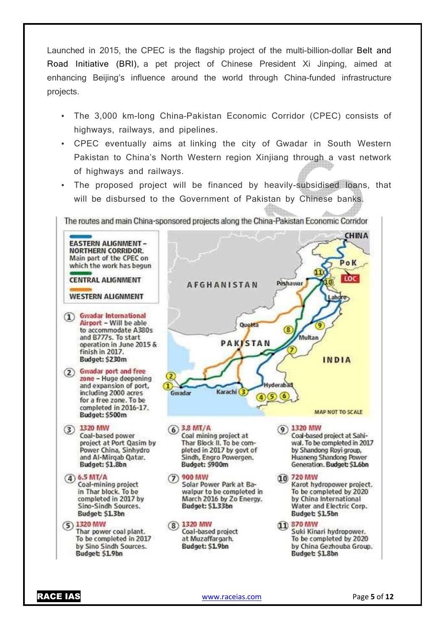Launched in 2015, the CPEC is the flagship project of the multi-billion-dollar Belt and Road Initiative (BRI), a pet project of Chinese President Xi Jinping, aimed at enhancing Beijing's influence around the world through China-funded infrastructure projects.

- The 3,000 km-long China–Pakistan Economic Corridor (CPEC) consists of highways, railways, and pipelines.
- CPEC eventually aims at linking the city of Gwadar in South Western Pakistan to China's North Western region Xinjiang through a vast network of highways and railways.
- The proposed project will be financed by heavily-subsidised loans, that will be disbursed to the Government of Pakistan by Chinese banks.

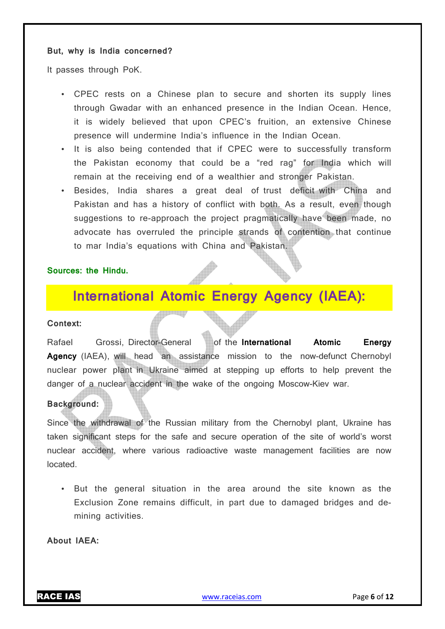### **But, why is India concerned?**

It passes through PoK.

- CPEC rests on a Chinese plan to secure and shorten its supply lines through Gwadar with an enhanced presence in the Indian Ocean. Hence, it is widely believed that upon CPEC's fruition, an extensive Chinese presence will undermine India's influence in the Indian Ocean.
- It is also being contended that if CPEC were to successfully transform the Pakistan economy that could be a "red rag" for India which will remain at the receiving end of a wealthier and stronger Pakistan.
- Besides, India shares a great deal of trust deficit with China and Pakistan and has a history of conflict with both. As a result, even though suggestions to re-approach the project pragmatically have been made, no advocate has overruled the principle strands of contention that continue to mar India's equations with China and Pakistan.

### **Sources: the Hindu.**

### **International Atomic Energy Agency (IAEA):**

### **Context:**

Rafael Grossi, Director-General of the **International Atomic Energy Agency** (IAEA), will head an assistance mission to the now-defunct Chernobyl nuclear power plant in Ukraine aimed at stepping up efforts to help prevent the danger of a nuclear accident in the wake of the ongoing Moscow-Kiev war.

### **Background:**

Since the withdrawal of the Russian military from the Chernobyl plant, Ukraine has taken significant steps for the safe and secure operation of the site of world's worst nuclear accident, where various radioactive waste management facilities are now located.

• But the general situation in the area around the site known as the Exclusion Zone remains difficult, in part due to damaged bridges and demining activities.

**About IAEA:**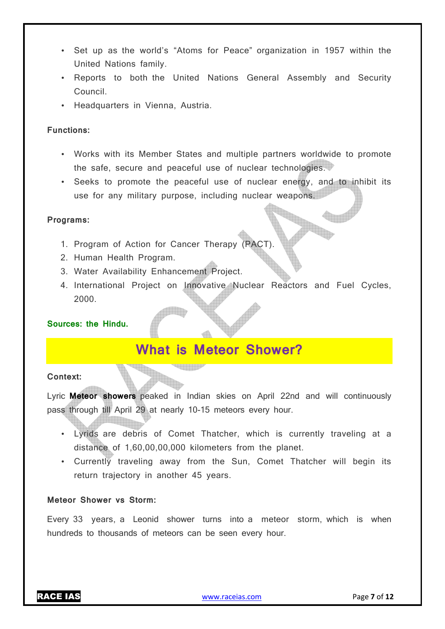- Set up as the world's "Atoms for Peace" organization in 1957 within the United Nations family.
- Reports to both the United Nations General Assembly and Security Council.
- Headquarters in Vienna, Austria.

### **Functions:**

- Works with its Member States and multiple partners worldwide to promote the safe, secure and peaceful use of nuclear technologies.
- Seeks to promote the peaceful use of nuclear energy, and to inhibit its use for any military purpose, including nuclear weapons.

### **Programs:**

- 1. Program of Action for Cancer Therapy (PACT).
- 2. Human Health Program.
- 3. Water Availability Enhancement Project.
- 4. International Project on Innovative Nuclear Reactors and Fuel Cycles, 2000.

### **Sources: the Hindu.**

## **What is Meteor Shower?**

### **Context:**

Lyric **Meteor showers** peaked in Indian skies on April 22nd and will continuously pass through till April 29 at nearly 10-15 meteors every hour.

- Lyrids are debris of Comet Thatcher, which is currently traveling at a distance of 1,60,00,00,000 kilometers from the planet.
- Currently traveling away from the Sun, Comet Thatcher will begin its return trajectory in another 45 years.

### **Meteor Shower vs Storm:**

Every 33 years, a Leonid shower turns into a meteor storm, which is when hundreds to thousands of meteors can be seen every hour.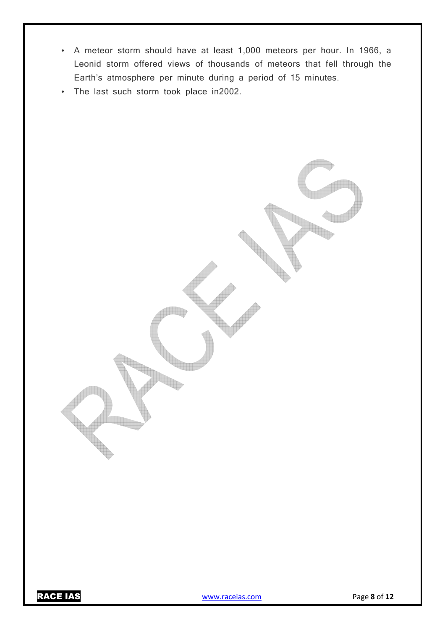- A meteor storm should have at least 1,000 meteors per hour. In 1966, a Leonid storm offered views of thousands of meteors that fell through the Earth's atmosphere per minute during a period of 15 minutes.
- The last such storm took place in2002.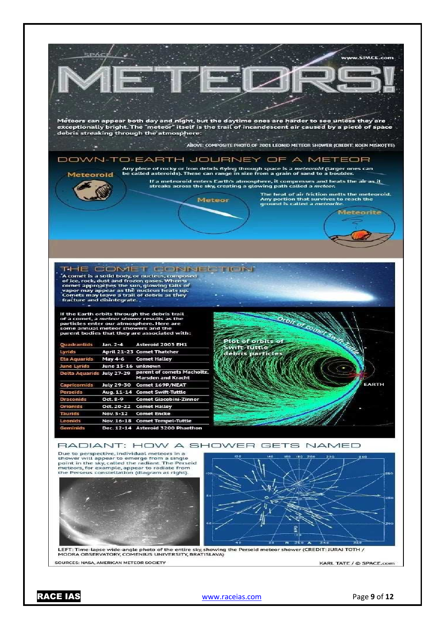

RACE IAS www.raceias.com Page **9** of **12**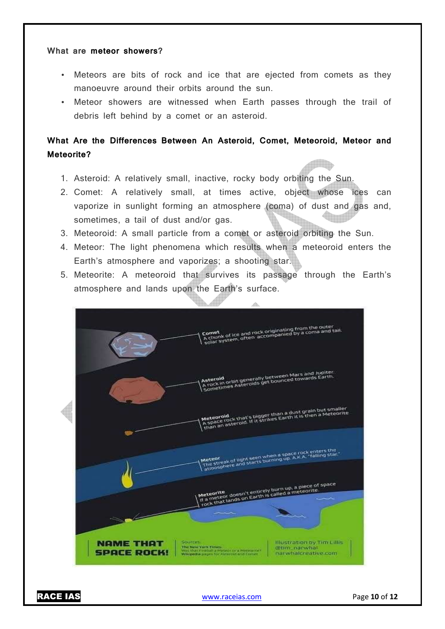### **What are meteor showers?**

- Meteors are bits of rock and ice that are ejected from comets as they manoeuvre around their orbits around the sun.
- Meteor showers are witnessed when Earth passes through the trail of debris left behind by a comet or an asteroid.

### **What Are the Differences Between An Asteroid, Comet, Meteoroid, Meteor and Meteorite?**

- 1. Asteroid: A relatively small, inactive, rocky body orbiting the Sun.
- 2. Comet: A relatively small, at times active, object whose ices can vaporize in sunlight forming an atmosphere (coma) of dust and gas and, sometimes, a tail of dust and/or gas.
- 3. Meteoroid: A small particle from a comet or asteroid orbiting the Sun.
- 4. Meteor: The light phenomena which results when a meteoroid enters the Earth's atmosphere and vaporizes; a shooting star.
- 5. Meteorite: A meteoroid that survives its passage through the Earth's atmosphere and lands upon the Earth's surface.



RACE IAS www.raceias.com Page **10** of **12**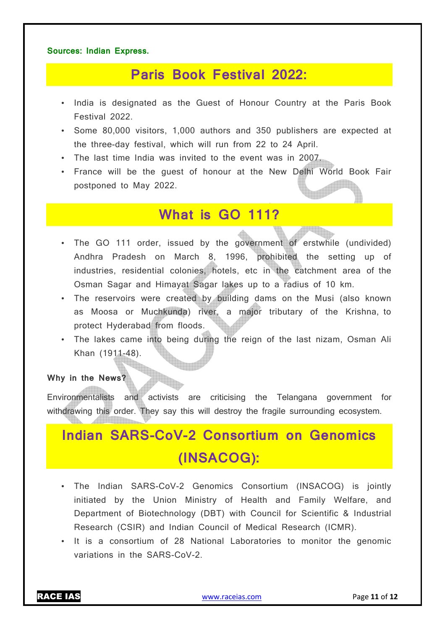### **Sources: Indian Express.**

## **Paris Book Festival 2022:**

- India is designated as the Guest of Honour Country at the Paris Book Festival 2022.
- Some 80,000 visitors, 1,000 authors and 350 publishers are expected at the three-day festival, which will run from 22 to 24 April.
- The last time India was invited to the event was in 2007.
- France will be the guest of honour at the New Delhi World Book Fair postponed to May 2022.

### **What is GO 111?**

- The GO 111 order, issued by the government of erstwhile (undivided) Andhra Pradesh on March 8, 1996, prohibited the setting up of industries, residential colonies, hotels, etc in the catchment area of the Osman Sagar and Himayat Sagar lakes up to a radius of 10 km.
- The reservoirs were created by building dams on the Musi (also known as Moosa or Muchkunda) river, a major tributary of the Krishna, to protect Hyderabad from floods.
- The lakes came into being during the reign of the last nizam, Osman Ali Khan (1911-48).

### **Why in the News?**

Environmentalists and activists are criticising the Telangana government for withdrawing this order. They say this will destroy the fragile surrounding ecosystem.

# **Indian SARS-CoV-2 Consortium on Genomics (INSACOG):**

- The Indian SARS-CoV-2 Genomics Consortium (INSACOG) is jointly initiated by the Union Ministry of Health and Family Welfare, and Department of Biotechnology (DBT) with Council for Scientific & Industrial Research (CSIR) and Indian Council of Medical Research (ICMR).
- It is a consortium of 28 National Laboratories to monitor the genomic variations in the SARS-CoV-2.